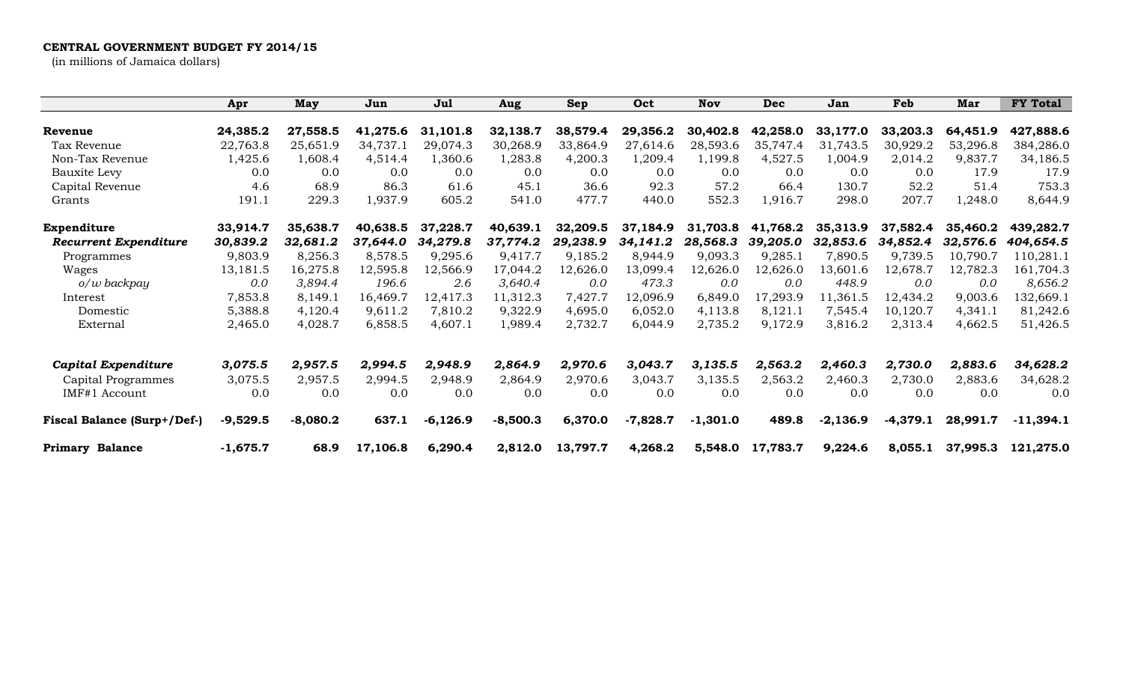## **CENTRAL GOVERNMENT BUDGET FY 2014/15**

(in millions of Jamaica dollars)

|                                    | Apr        | May        | Jun      | Jul        | Aug        | <b>Sep</b> | Oct        | Nov        | <b>Dec</b> | Jan        | Feb        | Mar      | <b>FY Total</b> |
|------------------------------------|------------|------------|----------|------------|------------|------------|------------|------------|------------|------------|------------|----------|-----------------|
| Revenue                            | 24,385.2   | 27,558.5   | 41,275.6 | 31,101.8   | 32,138.7   | 38,579.4   | 29,356.2   | 30,402.8   | 42,258.0   | 33,177.0   | 33,203.3   | 64,451.9 | 427,888.6       |
| Tax Revenue                        | 22,763.8   | 25,651.9   | 34,737.1 | 29,074.3   | 30,268.9   | 33,864.9   | 27,614.6   | 28,593.6   | 35,747.4   | 31,743.5   | 30,929.2   | 53,296.8 | 384,286.0       |
| Non-Tax Revenue                    | 1,425.6    | 1,608.4    | 4,514.4  | 1,360.6    | 1,283.8    | 4,200.3    | 1,209.4    | 1,199.8    | 4,527.5    | 1,004.9    | 2,014.2    | 9,837.7  | 34,186.5        |
| Bauxite Levy                       | 0.0        | 0.0        | 0.0      | 0.0        | 0.0        | 0.0        | 0.0        | 0.0        | 0.0        | 0.0        | 0.0        | 17.9     | 17.9            |
| Capital Revenue                    | 4.6        | 68.9       | 86.3     | 61.6       | 45.1       | 36.6       | 92.3       | 57.2       | 66.4       | 130.7      | 52.2       | 51.4     | 753.3           |
| Grants                             | 191.1      | 229.3      | 1,937.9  | 605.2      | 541.0      | 477.7      | 440.0      | 552.3      | 1,916.7    | 298.0      | 207.7      | 1,248.0  | 8,644.9         |
| Expenditure                        | 33,914.7   | 35,638.7   | 40,638.5 | 37,228.7   | 40,639.1   | 32,209.5   | 37,184.9   | 31,703.8   | 41,768.2   | 35,313.9   | 37,582.4   | 35,460.2 | 439,282.7       |
| <b>Recurrent Expenditure</b>       | 30,839.2   | 32,681.2   | 37,644.0 | 34,279.8   | 37,774.2   | 29,238.9   | 34,141.2   | 28,568.3   | 39,205.0   | 32,853.6   | 34,852.4   | 32,576.6 | 404,654.5       |
| Programmes                         | 9,803.9    | 8,256.3    | 8,578.5  | 9,295.6    | 9,417.7    | 9,185.2    | 8,944.9    | 9,093.3    | 9,285.1    | 7,890.5    | 9,739.5    | 10,790.7 | 110,281.1       |
| Wages                              | 13,181.5   | 16,275.8   | 12,595.8 | 12,566.9   | 17,044.2   | 12,626.0   | 13,099.4   | 12,626.0   | 12,626.0   | 13,601.6   | 12,678.7   | 12,782.3 | 161,704.3       |
| $o/w$ backpay                      | 0.0        | 3,894.4    | 196.6    | 2.6        | 3,640.4    | 0.0        | 473.3      | 0.0        | 0.0        | 448.9      | 0.0        | 0.0      | 8,656.2         |
| Interest                           | 7,853.8    | 8,149.1    | 16,469.7 | 12,417.3   | 11,312.3   | 7,427.7    | 12,096.9   | 6,849.0    | 17,293.9   | 11,361.5   | 12,434.2   | 9,003.6  | 132,669.1       |
| Domestic                           | 5,388.8    | 4,120.4    | 9,611.2  | 7,810.2    | 9,322.9    | 4,695.0    | 6,052.0    | 4,113.8    | 8,121.1    | 7,545.4    | 10,120.7   | 4,341.1  | 81,242.6        |
| External                           | 2,465.0    | 4,028.7    | 6,858.5  | 4,607.1    | 1,989.4    | 2,732.7    | 6,044.9    | 2,735.2    | 9,172.9    | 3,816.2    | 2,313.4    | 4,662.5  | 51,426.5        |
| Capital Expenditure                | 3,075.5    | 2,957.5    | 2,994.5  | 2,948.9    | 2,864.9    | 2,970.6    | 3,043.7    | 3,135.5    | 2,563.2    | 2,460.3    | 2,730.0    | 2,883.6  | 34,628.2        |
| Capital Programmes                 | 3,075.5    | 2,957.5    | 2,994.5  | 2,948.9    | 2,864.9    | 2,970.6    | 3,043.7    | 3,135.5    | 2,563.2    | 2,460.3    | 2,730.0    | 2,883.6  | 34,628.2        |
| IMF#1 Account                      | 0.0        | 0.0        | 0.0      | 0.0        | 0.0        | 0.0        | 0.0        | 0.0        | 0.0        | 0.0        | 0.0        | 0.0      | 0.0             |
| <b>Fiscal Balance (Surp+/Def-)</b> | $-9,529.5$ | $-8,080.2$ | 637.1    | $-6,126.9$ | $-8,500.3$ | 6,370.0    | $-7,828.7$ | $-1,301.0$ | 489.8      | $-2,136.9$ | $-4,379.1$ | 28,991.7 | $-11,394.1$     |
| <b>Primary Balance</b>             | $-1,675.7$ | 68.9       | 17,106.8 | 6,290.4    | 2,812.0    | 13,797.7   | 4,268.2    | 5,548.0    | 17,783.7   | 9,224.6    | 8,055.1    | 37,995.3 | 121,275.0       |